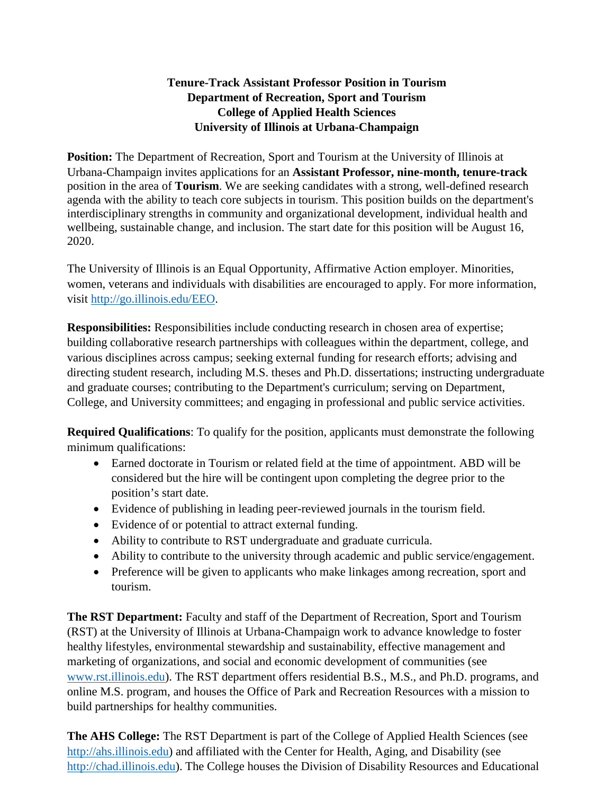## **Tenure-Track Assistant Professor Position in Tourism Department of Recreation, Sport and Tourism College of Applied Health Sciences University of Illinois at Urbana-Champaign**

**Position:** The Department of Recreation, Sport and Tourism at the University of Illinois at Urbana-Champaign invites applications for an **Assistant Professor, nine-month, tenure-track**  position in the area of **Tourism**. We are seeking candidates with a strong, well-defined research agenda with the ability to teach core subjects in tourism. This position builds on the department's interdisciplinary strengths in community and organizational development, individual health and wellbeing, sustainable change, and inclusion. The start date for this position will be August 16, 2020.

The University of Illinois is an Equal Opportunity, Affirmative Action employer. Minorities, women, veterans and individuals with disabilities are encouraged to apply. For more information, visit [http://go.illinois.edu/EEO.](http://go.illinois.edu/EEO)

**Responsibilities:** Responsibilities include conducting research in chosen area of expertise; building collaborative research partnerships with colleagues within the department, college, and various disciplines across campus; seeking external funding for research efforts; advising and directing student research, including M.S. theses and Ph.D. dissertations; instructing undergraduate and graduate courses; contributing to the Department's curriculum; serving on Department, College, and University committees; and engaging in professional and public service activities.

**Required Qualifications**: To qualify for the position, applicants must demonstrate the following minimum qualifications:

- Earned doctorate in Tourism or related field at the time of appointment. ABD will be considered but the hire will be contingent upon completing the degree prior to the position's start date.
- Evidence of publishing in leading peer-reviewed journals in the tourism field.
- Evidence of or potential to attract external funding.
- Ability to contribute to RST undergraduate and graduate curricula.
- Ability to contribute to the university through academic and public service/engagement.
- Preference will be given to applicants who make linkages among recreation, sport and tourism.

**The RST Department:** Faculty and staff of the Department of Recreation, Sport and Tourism (RST) at the University of Illinois at Urbana-Champaign work to advance knowledge to foster healthy lifestyles, environmental stewardship and sustainability, effective management and marketing of organizations, and social and economic development of communities (see [www.rst.illinois.edu\)](http://www.rst.illinois.edu/). The RST department offers residential B.S., M.S., and Ph.D. programs, and online M.S. program, and houses the Office of Park and Recreation Resources with a mission to build partnerships for healthy communities.

**The AHS College:** The RST Department is part of the College of Applied Health Sciences (see [http://ahs.illinois.edu\)](http://ahs.illinois.edu/) and affiliated with the Center for Health, Aging, and Disability (see [http://chad.illinois.edu\)](http://chad.illinois.edu/). The College houses the Division of Disability Resources and Educational